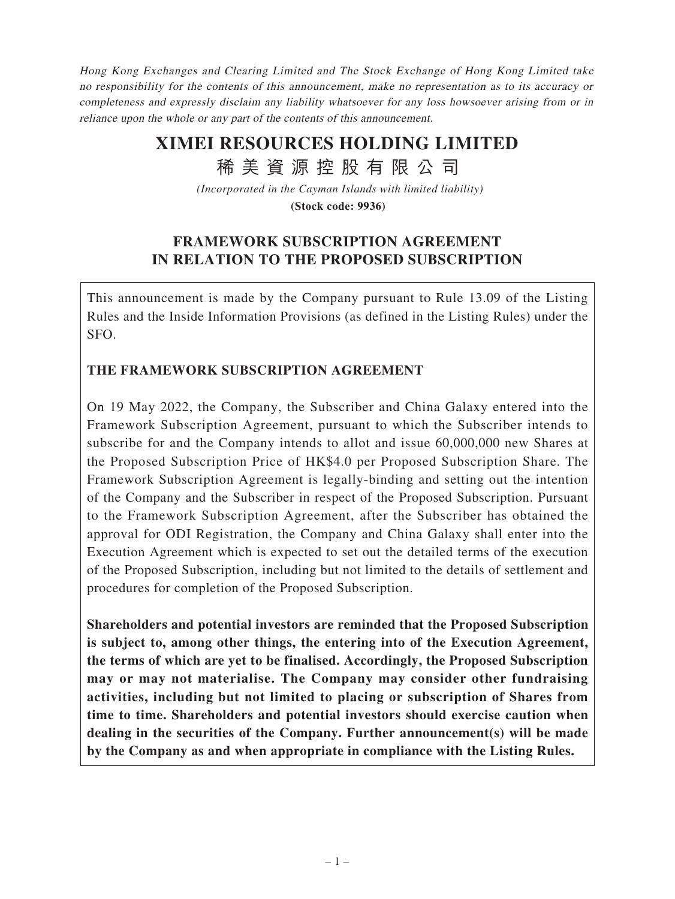Hong Kong Exchanges and Clearing Limited and The Stock Exchange of Hong Kong Limited take no responsibility for the contents of this announcement, make no representation as to its accuracy or completeness and expressly disclaim any liability whatsoever for any loss howsoever arising from or in reliance upon the whole or any part of the contents of this announcement.

# **XIMEI RESOURCES HOLDING LIMITED**

稀 美 資 源 控 股 有 限 公 司

*(Incorporated in the Cayman Islands with limited liability)*

**(Stock code: 9936)**

# **FRAMEWORK SUBSCRIPTION AGREEMENT IN RELATION TO THE PROPOSED SUBSCRIPTION**

This announcement is made by the Company pursuant to Rule 13.09 of the Listing Rules and the Inside Information Provisions (as defined in the Listing Rules) under the SFO.

# **THE FRAMEWORK SUBSCRIPTION AGREEMENT**

On 19 May 2022, the Company, the Subscriber and China Galaxy entered into the Framework Subscription Agreement, pursuant to which the Subscriber intends to subscribe for and the Company intends to allot and issue 60,000,000 new Shares at the Proposed Subscription Price of HK\$4.0 per Proposed Subscription Share. The Framework Subscription Agreement is legally-binding and setting out the intention of the Company and the Subscriber in respect of the Proposed Subscription. Pursuant to the Framework Subscription Agreement, after the Subscriber has obtained the approval for ODI Registration, the Company and China Galaxy shall enter into the Execution Agreement which is expected to set out the detailed terms of the execution of the Proposed Subscription, including but not limited to the details of settlement and procedures for completion of the Proposed Subscription.

**Shareholders and potential investors are reminded that the Proposed Subscription is subject to, among other things, the entering into of the Execution Agreement, the terms of which are yet to be finalised. Accordingly, the Proposed Subscription may or may not materialise. The Company may consider other fundraising activities, including but not limited to placing or subscription of Shares from time to time. Shareholders and potential investors should exercise caution when dealing in the securities of the Company. Further announcement(s) will be made by the Company as and when appropriate in compliance with the Listing Rules.**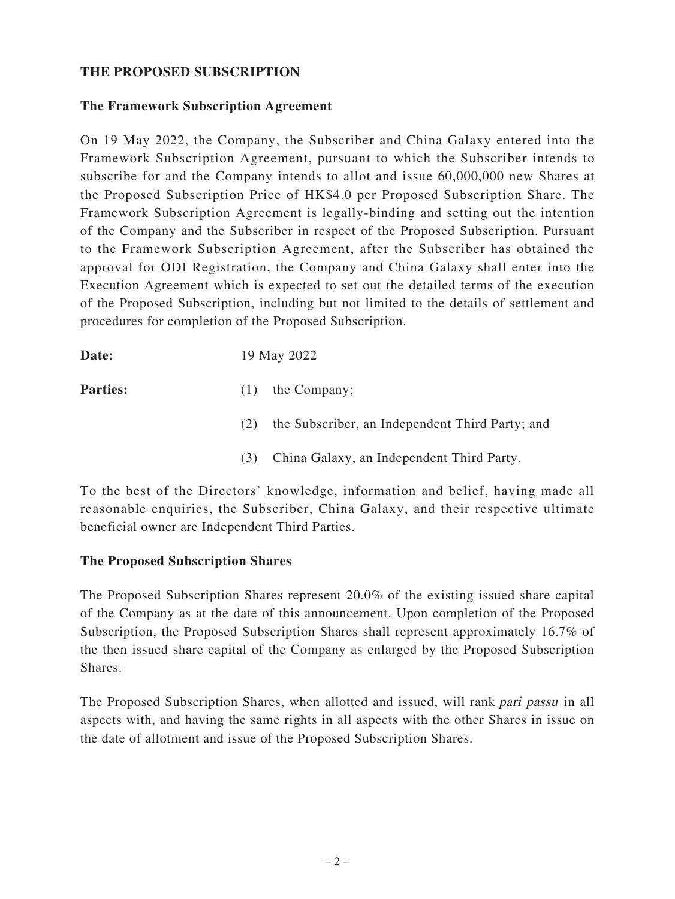#### **THE PROPOSED SUBSCRIPTION**

# **The Framework Subscription Agreement**

On 19 May 2022, the Company, the Subscriber and China Galaxy entered into the Framework Subscription Agreement, pursuant to which the Subscriber intends to subscribe for and the Company intends to allot and issue 60,000,000 new Shares at the Proposed Subscription Price of HK\$4.0 per Proposed Subscription Share. The Framework Subscription Agreement is legally-binding and setting out the intention of the Company and the Subscriber in respect of the Proposed Subscription. Pursuant to the Framework Subscription Agreement, after the Subscriber has obtained the approval for ODI Registration, the Company and China Galaxy shall enter into the Execution Agreement which is expected to set out the detailed terms of the execution of the Proposed Subscription, including but not limited to the details of settlement and procedures for completion of the Proposed Subscription.

**Date:** 19 May 2022

- **Parties:** (1) the Company;
	- (2) the Subscriber, an Independent Third Party; and
	- (3) China Galaxy, an Independent Third Party.

To the best of the Directors' knowledge, information and belief, having made all reasonable enquiries, the Subscriber, China Galaxy, and their respective ultimate beneficial owner are Independent Third Parties.

#### **The Proposed Subscription Shares**

The Proposed Subscription Shares represent 20.0% of the existing issued share capital of the Company as at the date of this announcement. Upon completion of the Proposed Subscription, the Proposed Subscription Shares shall represent approximately 16.7% of the then issued share capital of the Company as enlarged by the Proposed Subscription Shares.

The Proposed Subscription Shares, when allotted and issued, will rank pari passu in all aspects with, and having the same rights in all aspects with the other Shares in issue on the date of allotment and issue of the Proposed Subscription Shares.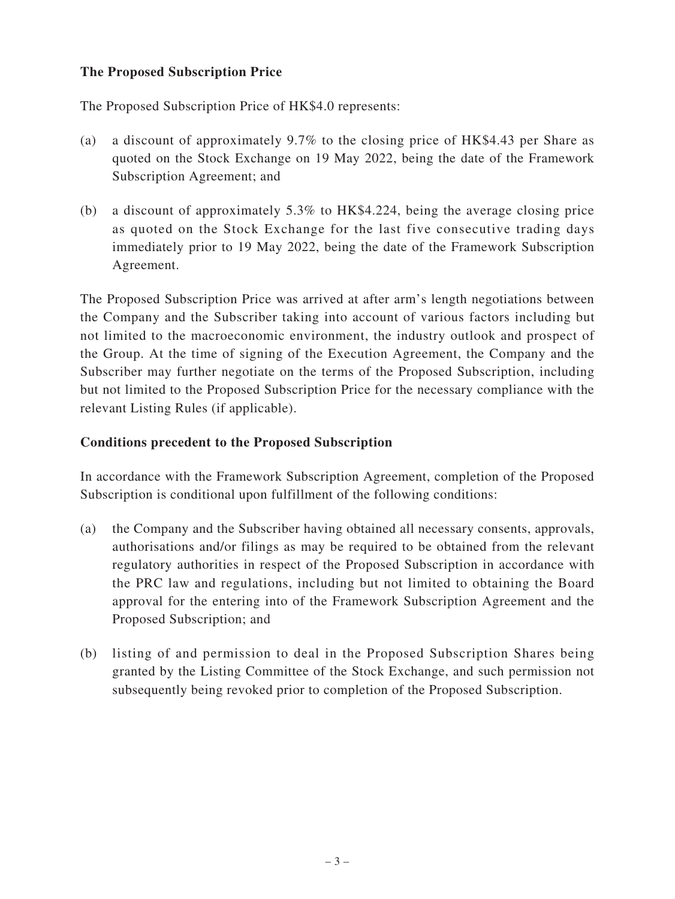### **The Proposed Subscription Price**

The Proposed Subscription Price of HK\$4.0 represents:

- (a) a discount of approximately 9.7% to the closing price of HK\$4.43 per Share as quoted on the Stock Exchange on 19 May 2022, being the date of the Framework Subscription Agreement; and
- (b) a discount of approximately 5.3% to HK\$4.224, being the average closing price as quoted on the Stock Exchange for the last five consecutive trading days immediately prior to 19 May 2022, being the date of the Framework Subscription Agreement.

The Proposed Subscription Price was arrived at after arm's length negotiations between the Company and the Subscriber taking into account of various factors including but not limited to the macroeconomic environment, the industry outlook and prospect of the Group. At the time of signing of the Execution Agreement, the Company and the Subscriber may further negotiate on the terms of the Proposed Subscription, including but not limited to the Proposed Subscription Price for the necessary compliance with the relevant Listing Rules (if applicable).

### **Conditions precedent to the Proposed Subscription**

In accordance with the Framework Subscription Agreement, completion of the Proposed Subscription is conditional upon fulfillment of the following conditions:

- (a) the Company and the Subscriber having obtained all necessary consents, approvals, authorisations and/or filings as may be required to be obtained from the relevant regulatory authorities in respect of the Proposed Subscription in accordance with the PRC law and regulations, including but not limited to obtaining the Board approval for the entering into of the Framework Subscription Agreement and the Proposed Subscription; and
- (b) listing of and permission to deal in the Proposed Subscription Shares being granted by the Listing Committee of the Stock Exchange, and such permission not subsequently being revoked prior to completion of the Proposed Subscription.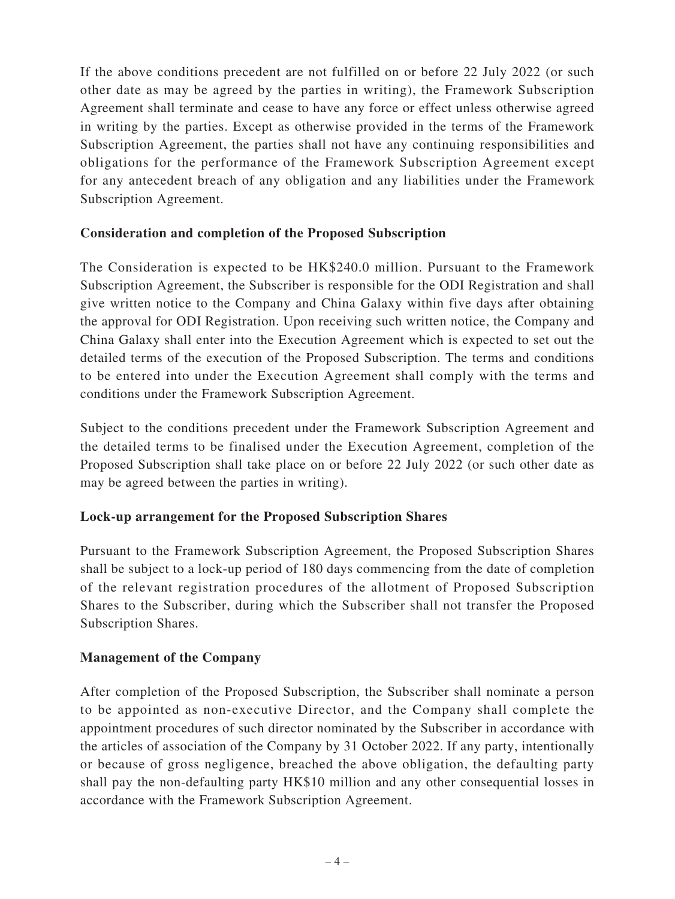If the above conditions precedent are not fulfilled on or before 22 July 2022 (or such other date as may be agreed by the parties in writing), the Framework Subscription Agreement shall terminate and cease to have any force or effect unless otherwise agreed in writing by the parties. Except as otherwise provided in the terms of the Framework Subscription Agreement, the parties shall not have any continuing responsibilities and obligations for the performance of the Framework Subscription Agreement except for any antecedent breach of any obligation and any liabilities under the Framework Subscription Agreement.

### **Consideration and completion of the Proposed Subscription**

The Consideration is expected to be HK\$240.0 million. Pursuant to the Framework Subscription Agreement, the Subscriber is responsible for the ODI Registration and shall give written notice to the Company and China Galaxy within five days after obtaining the approval for ODI Registration. Upon receiving such written notice, the Company and China Galaxy shall enter into the Execution Agreement which is expected to set out the detailed terms of the execution of the Proposed Subscription. The terms and conditions to be entered into under the Execution Agreement shall comply with the terms and conditions under the Framework Subscription Agreement.

Subject to the conditions precedent under the Framework Subscription Agreement and the detailed terms to be finalised under the Execution Agreement, completion of the Proposed Subscription shall take place on or before 22 July 2022 (or such other date as may be agreed between the parties in writing).

# **Lock-up arrangement for the Proposed Subscription Shares**

Pursuant to the Framework Subscription Agreement, the Proposed Subscription Shares shall be subject to a lock-up period of 180 days commencing from the date of completion of the relevant registration procedures of the allotment of Proposed Subscription Shares to the Subscriber, during which the Subscriber shall not transfer the Proposed Subscription Shares.

# **Management of the Company**

After completion of the Proposed Subscription, the Subscriber shall nominate a person to be appointed as non-executive Director, and the Company shall complete the appointment procedures of such director nominated by the Subscriber in accordance with the articles of association of the Company by 31 October 2022. If any party, intentionally or because of gross negligence, breached the above obligation, the defaulting party shall pay the non-defaulting party HK\$10 million and any other consequential losses in accordance with the Framework Subscription Agreement.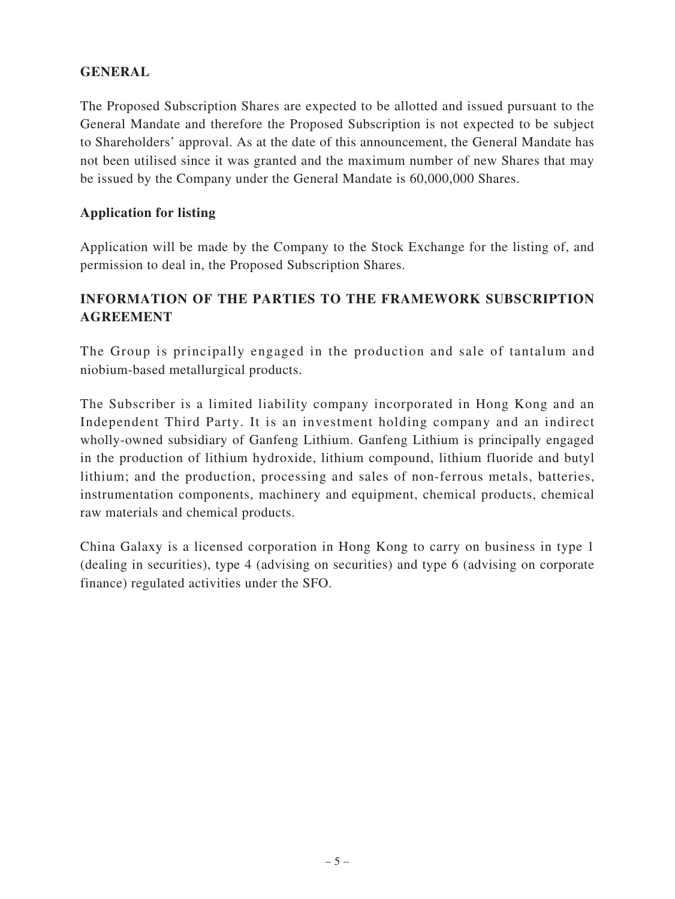### **GENERAL**

The Proposed Subscription Shares are expected to be allotted and issued pursuant to the General Mandate and therefore the Proposed Subscription is not expected to be subject to Shareholders' approval. As at the date of this announcement, the General Mandate has not been utilised since it was granted and the maximum number of new Shares that may be issued by the Company under the General Mandate is 60,000,000 Shares.

#### **Application for listing**

Application will be made by the Company to the Stock Exchange for the listing of, and permission to deal in, the Proposed Subscription Shares.

# **INFORMATION OF THE PARTIES TO THE FRAMEWORK SUBSCRIPTION AGREEMENT**

The Group is principally engaged in the production and sale of tantalum and niobium-based metallurgical products.

The Subscriber is a limited liability company incorporated in Hong Kong and an Independent Third Party. It is an investment holding company and an indirect wholly-owned subsidiary of Ganfeng Lithium. Ganfeng Lithium is principally engaged in the production of lithium hydroxide, lithium compound, lithium fluoride and butyl lithium; and the production, processing and sales of non-ferrous metals, batteries, instrumentation components, machinery and equipment, chemical products, chemical raw materials and chemical products.

China Galaxy is a licensed corporation in Hong Kong to carry on business in type 1 (dealing in securities), type 4 (advising on securities) and type 6 (advising on corporate finance) regulated activities under the SFO.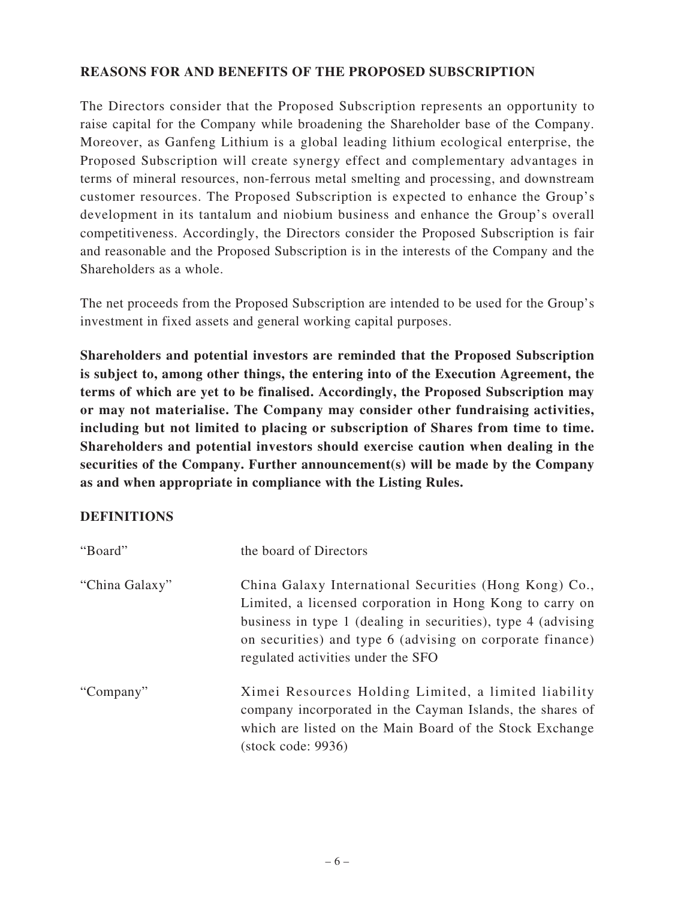#### **REASONS FOR AND BENEFITS OF THE PROPOSED SUBSCRIPTION**

The Directors consider that the Proposed Subscription represents an opportunity to raise capital for the Company while broadening the Shareholder base of the Company. Moreover, as Ganfeng Lithium is a global leading lithium ecological enterprise, the Proposed Subscription will create synergy effect and complementary advantages in terms of mineral resources, non-ferrous metal smelting and processing, and downstream customer resources. The Proposed Subscription is expected to enhance the Group's development in its tantalum and niobium business and enhance the Group's overall competitiveness. Accordingly, the Directors consider the Proposed Subscription is fair and reasonable and the Proposed Subscription is in the interests of the Company and the Shareholders as a whole.

The net proceeds from the Proposed Subscription are intended to be used for the Group's investment in fixed assets and general working capital purposes.

**Shareholders and potential investors are reminded that the Proposed Subscription is subject to, among other things, the entering into of the Execution Agreement, the terms of which are yet to be finalised. Accordingly, the Proposed Subscription may or may not materialise. The Company may consider other fundraising activities, including but not limited to placing or subscription of Shares from time to time. Shareholders and potential investors should exercise caution when dealing in the securities of the Company. Further announcement(s) will be made by the Company as and when appropriate in compliance with the Listing Rules.**

#### **DEFINITIONS**

| "Board"        | the board of Directors                                                                                                                                                                                                                                                                |
|----------------|---------------------------------------------------------------------------------------------------------------------------------------------------------------------------------------------------------------------------------------------------------------------------------------|
| "China Galaxy" | China Galaxy International Securities (Hong Kong) Co.,<br>Limited, a licensed corporation in Hong Kong to carry on<br>business in type 1 (dealing in securities), type 4 (advising<br>on securities) and type 6 (advising on corporate finance)<br>regulated activities under the SFO |
| "Company"      | Ximei Resources Holding Limited, a limited liability<br>company incorporated in the Cayman Islands, the shares of<br>which are listed on the Main Board of the Stock Exchange<br>$(\text{stock code}: 9936)$                                                                          |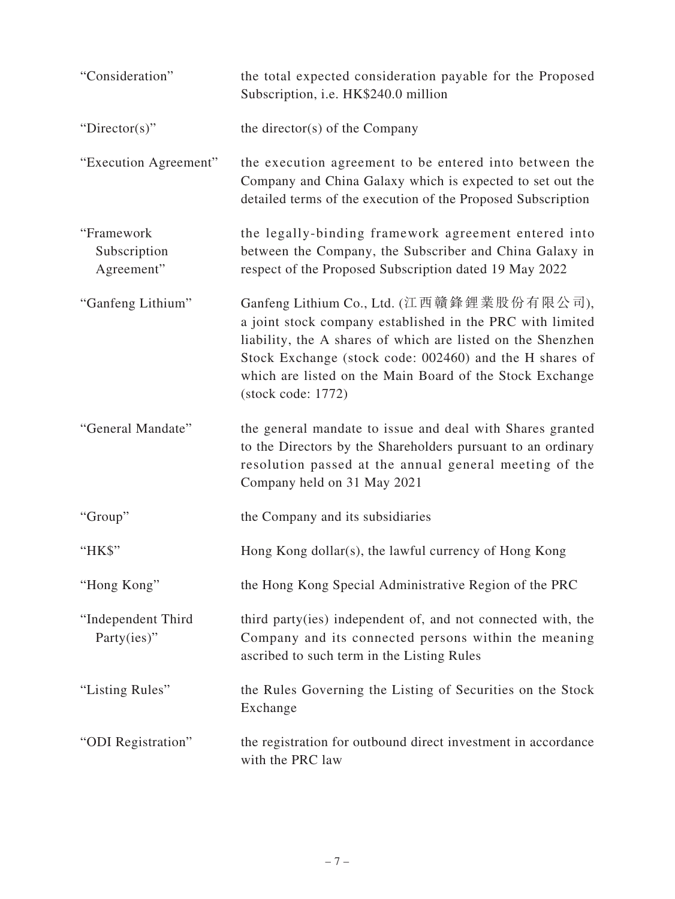| "Consideration"                          | the total expected consideration payable for the Proposed<br>Subscription, i.e. HK\$240.0 million                                                                                                                                                                                                                  |
|------------------------------------------|--------------------------------------------------------------------------------------------------------------------------------------------------------------------------------------------------------------------------------------------------------------------------------------------------------------------|
| "Director(s)"                            | the director(s) of the Company                                                                                                                                                                                                                                                                                     |
| "Execution Agreement"                    | the execution agreement to be entered into between the<br>Company and China Galaxy which is expected to set out the<br>detailed terms of the execution of the Proposed Subscription                                                                                                                                |
| "Framework<br>Subscription<br>Agreement" | the legally-binding framework agreement entered into<br>between the Company, the Subscriber and China Galaxy in<br>respect of the Proposed Subscription dated 19 May 2022                                                                                                                                          |
| "Ganfeng Lithium"                        | Ganfeng Lithium Co., Ltd. (江西贛鋒鋰業股份有限公司),<br>a joint stock company established in the PRC with limited<br>liability, the A shares of which are listed on the Shenzhen<br>Stock Exchange (stock code: 002460) and the H shares of<br>which are listed on the Main Board of the Stock Exchange<br>(stock code: 1772) |
| "General Mandate"                        | the general mandate to issue and deal with Shares granted<br>to the Directors by the Shareholders pursuant to an ordinary<br>resolution passed at the annual general meeting of the<br>Company held on 31 May 2021                                                                                                 |
| "Group"                                  | the Company and its subsidiaries                                                                                                                                                                                                                                                                                   |
| "HK\$"                                   | Hong Kong dollar(s), the lawful currency of Hong Kong                                                                                                                                                                                                                                                              |
| "Hong Kong"                              | the Hong Kong Special Administrative Region of the PRC                                                                                                                                                                                                                                                             |
| "Independent Third<br>Party(ies)"        | third party (ies) independent of, and not connected with, the<br>Company and its connected persons within the meaning<br>ascribed to such term in the Listing Rules                                                                                                                                                |
| "Listing Rules"                          | the Rules Governing the Listing of Securities on the Stock<br>Exchange                                                                                                                                                                                                                                             |
| "ODI Registration"                       | the registration for outbound direct investment in accordance<br>with the PRC law                                                                                                                                                                                                                                  |